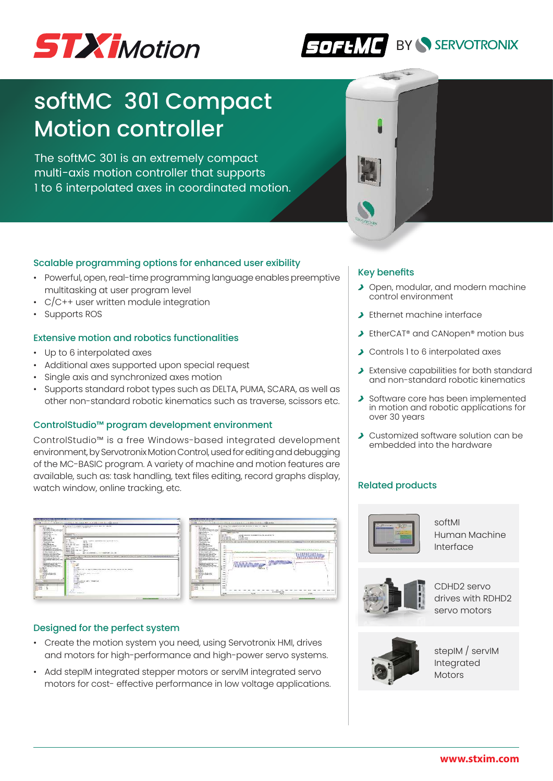



# softMC 301 Compact Motion controller

The softMC 301 is an extremely compact multi-axis motion controller that supports 1 to 6 interpolated axes in coordinated motion.



# Scalable programming options for enhanced user exibility

- Powerful, open, real-time programming language enables preemptive multitasking at user program level
- C/C++ user written module integration
- Supports ROS

#### Extensive motion and robotics functionalities

- Up to 6 interpolated axes
- Additional axes supported upon special request
- Single axis and synchronized axes motion
- Supports standard robot types such as DELTA, PUMA, SCARA, as well as other non-standard robotic kinematics such as traverse, scissors etc.

#### ControlStudio™ program development environment

ControlStudio™ is a free Windows-based integrated development environment, by Servotronix Motion Control, used for editing and debugging of the MC-BASIC program. A variety of machine and motion features are available, such as: task handling, text files editing, record graphs display, watch window, online tracking, etc.

| ---<br><b>A discussion and</b><br>a Services<br>A British Mich Hill<br>A determined the state of the Automobile<br>. Brownship could go to uning out<br>a banded and service<br>1.50 pilotti<br>In the collection and contact them.                                                                                                                                                                                                                                                                                                                                                                                                                                                                                                                                                                                                                                                                                                                                                                                                                                                | I would be appointed an excel a property of the<br>A production modern Model and an                                                                                                                                                                                                                                                                                                                                                                                                                                                                                                                                                                                                                                                                                                                                                                                                                                                                                                                                                                                                                                                                                                                                                                                                                                                                                                                                                                                                                                                                                 | <b>Children company</b><br>a Service of<br>A March 2004 College<br>to chain their development and streated                                                                                                                                                                                                                                                                                                                                                                                                                                                                                                                                                                                                                                                                                                                                                                                                                                                                                                                                                                                  | contract of the state of the local and the<br><b>Street of Texture in All</b>                                                                                                                                                                                                                                                                                                                                                                                        |
|------------------------------------------------------------------------------------------------------------------------------------------------------------------------------------------------------------------------------------------------------------------------------------------------------------------------------------------------------------------------------------------------------------------------------------------------------------------------------------------------------------------------------------------------------------------------------------------------------------------------------------------------------------------------------------------------------------------------------------------------------------------------------------------------------------------------------------------------------------------------------------------------------------------------------------------------------------------------------------------------------------------------------------------------------------------------------------|---------------------------------------------------------------------------------------------------------------------------------------------------------------------------------------------------------------------------------------------------------------------------------------------------------------------------------------------------------------------------------------------------------------------------------------------------------------------------------------------------------------------------------------------------------------------------------------------------------------------------------------------------------------------------------------------------------------------------------------------------------------------------------------------------------------------------------------------------------------------------------------------------------------------------------------------------------------------------------------------------------------------------------------------------------------------------------------------------------------------------------------------------------------------------------------------------------------------------------------------------------------------------------------------------------------------------------------------------------------------------------------------------------------------------------------------------------------------------------------------------------------------------------------------------------------------|---------------------------------------------------------------------------------------------------------------------------------------------------------------------------------------------------------------------------------------------------------------------------------------------------------------------------------------------------------------------------------------------------------------------------------------------------------------------------------------------------------------------------------------------------------------------------------------------------------------------------------------------------------------------------------------------------------------------------------------------------------------------------------------------------------------------------------------------------------------------------------------------------------------------------------------------------------------------------------------------------------------------------------------------------------------------------------------------|----------------------------------------------------------------------------------------------------------------------------------------------------------------------------------------------------------------------------------------------------------------------------------------------------------------------------------------------------------------------------------------------------------------------------------------------------------------------|
|                                                                                                                                                                                                                                                                                                                                                                                                                                                                                                                                                                                                                                                                                                                                                                                                                                                                                                                                                                                                                                                                                    | <b><i><u>Printed C. T. Buick In 1</u></i></b>                                                                                                                                                                                                                                                                                                                                                                                                                                                                                                                                                                                                                                                                                                                                                                                                                                                                                                                                                                                                                                                                                                                                                                                                                                                                                                                                                                                                                                                                                                                       | A brown formation in color and<br>a bendelse solve<br>1500 and at \$14.<br>to the motorcycle colour com-                                                                                                                                                                                                                                                                                                                                                                                                                                                                                                                                                                                                                                                                                                                                                                                                                                                                                                                                                                                    | ---<br><b>HOME CARLS NO</b><br>of Winners Council and<br><b><i>GRAN IRING</i></b><br>ALC: UNK                                                                                                                                                                                                                                                                                                                                                                        |
| in recommendation<br>in behinder street.<br>1104 - 18 - 19 B<br>I designed on more<br>12 MILLIONS<br>in Straightenberg class<br><b>STANDARD</b><br>THE MINER OF STREET<br>14 MARGARET BLVD STORES<br>a for books for<br>In the Asterda distances<br>THE PERMISSION CONTROL<br><b>THE REPORT FOLLOWS AND LODGED</b><br>of the Man Separation and L.C.<br>In the first party company to the analysis.<br>1.00 March 21, 91 March 211 1910<br>to the book companies and<br>a line to be bodies from them on it.<br>of the Michael and Chrysler Lab<br>11 YEAR OLD MARRIED COMMITTEE COMMITTEE<br><b>Williams</b><br><b>Links</b><br>1 THE WANTED VIOLATING<br>1. Machinerin Continental 1. Dog<br>19 In with Mindson education and at<br>the product shade in the country<br><b>CONTRACTOR</b><br><b>Brumer</b> K<br>in streets.<br>Life away<br>15 Minds of Malla Africa<br>A Service College Park<br><b>COMPANY</b><br>Turney Inc.<br>$2.96 - 10$<br>$\rightarrow$<br><b>Britain College</b><br><br><b>EXHIBIT CALL</b><br>sided.<br><b>ACCHE</b><br>$rac{1}{2}$<br><b>Saltimar</b> | MARINERAT<br>$-$<br>General Scott Co.<br><b>DELIVERY</b><br>transl - Looker by present cop 2 (2 show to 2-4)<br>A Calendar<br>--<br><b>MARKET BRAND</b><br>the same street without<br><b>CONTRACTOR</b><br><b>Contract Contract</b><br><b>TANAR CALL</b><br><b>BATIONAL</b><br><b>COURS</b> STAY<br>But those fact come<br><b>PAID AT LEAST</b><br><b>BERTH CARDS</b><br>who could not the 1-80 to<br>Contract in the contract of the<br><b>HALF HIRLS</b><br><b>Brac</b><br><b>FALL MAIL</b><br>that a background to control the project statution.<br>month bears of mode<br><b>CONTRACTOR</b><br>20 MILL 20 MILE Supreme Labor - 1201 17074-18 Support Street Street and<br>$2.27 - 2.8 - 10 - 1$<br>the Montan IS Fork &<br><b>Bandon</b><br>A. CONTON<br>$\overline{a}$<br><b>Safe Killey</b><br><b>King</b><br><b>COLLAGE</b><br><b>STATISTICS</b><br><b>STATISTICS</b><br>Total And<br>count back and the sign in company who counter that become the control and the county<br><b>Service</b><br>12:55 12:09:09 01<br>×.<br>Telephone<br>three and McConstitutions are all continuous and the<br>the company of the<br><b>EXIST LAT</b><br>COMMERCIAL COMPANY<br>1115.86<br>$-20$<br>Contract Contract Institute<br>this mushed and reserve.<br>the of dependence that the control of<br><b>FIRSTAN</b><br>THE R. P. LEWIS<br>clock and<br><b>Service</b><br><b>CONTRACTOR</b><br><b>Service</b><br>the first con-<br>Latin Corp., Middle Art<br><b>Committee Committee Committee Committee Committee Committee Committee Committee Committee Committee</b> | of anticipate in fine<br>a behala yang<br><b>A SALA LINE AT ALL</b><br>3 MORGA CO R.M.<br>1 annis poblacia<br>the company's com-<br><b>STANDARD</b><br>12 MINUTES AREA DE ROBERT<br>If we want to sell shown<br>the fact that the fact<br>a Baldwick Walseler<br>THE PERMIT CALL AND STREET<br>A 24 MARCH WAS CITED FOR DWOL. A 45 YEAR OLD MALE<br>A R Collage Instant St. and L II<br>in the first party company to the provincial<br>1.000409-0-0-0-0-0-0-000<br>a management of a book<br>a line total building Exceptions are if<br>of the Mich de alle with Mich in a first<br>12 YEAR OLD MAKERS COMMAND AND RESEARCH<br>of month.<br>155<br>1 No. 6 Links & Card at Links<br>1 Martin McContent Links<br>IT IS WITH MINERAL HIS MICHAEL<br>the product share to the product<br>A HAPPING CO. CO.<br><b>Brumer</b> is<br>the stream bar<br>2. Key mereur<br><b>COMPASS CRASH</b><br>TV WEEDLACHT<br><b>COMPANY</b><br>Turber by<br><b>Links</b><br>$\sim$<br><b>Brown College</b><br><b><i><u>Standard Corporation</u></i></b><br>shiel.<br><b>ACCHE</b><br>a an<br><b>Submitted</b> | --<br><b>MAS SURFACES</b><br><b>ESCAN AND</b><br>A can been state<br><b>AMMEDIAN</b><br>A million stationer<br><b>CONTRACTOR</b><br>LEL at most<br>-<br>w<br>sin i<br><b>LAT</b><br><b>Color</b><br><b>AB</b><br>and with a strain and the control of<br>$^{16}$<br>m<br><b>CALCULATION</b><br>$-$<br><b>ALC</b><br><b>Corporate</b><br>$-$<br><b>COLOR</b><br>$-$<br><b>STAR</b><br>54<br>16.46<br><b>Hard</b><br>54.45<br><b>HERE</b><br>œ<br>181.6<br><b>STAR</b> |

| $\mathcal{L} = \{ \mathcal{L} \mid \mathcal{L} \in \mathcal{L} \text{ and } \mathcal{L} \in \mathcal{L} \text{ and } \mathcal{L} \in \mathcal{L} \text{ and } \mathcal{L} \in \mathcal{L} \text{ and } \mathcal{L} \in \mathcal{L} \text{ and } \mathcal{L} \in \mathcal{L} \text{ and } \mathcal{L} \in \mathcal{L} \text{ and } \mathcal{L} \in \mathcal{L} \text{ and } \mathcal{L} \in \mathcal{L} \text{ and } \mathcal{L} \in \mathcal{L} \text{ and } \mathcal{L} \in \mathcal{L$<br><b>A distance and</b><br>٠<br>a Tanka and<br><b>STATE AND ARRANGEMENT</b><br><b>Street of Texture in All</b><br>to chain their development and streated<br>I brownly mode to integer.<br>a bandadas per un<br><b>CARLING</b><br><b>LEAL-Av Ed</b><br><b>Charles College Co.</b><br>a residence of color terms.<br>A BLACK COLLECTIVE COLLECTION AND AT A REPORT OF<br>ALC: UNK<br>of reference to fine<br>$-2$<br><b>Williams</b><br>a bello don compa-<br>A can been state<br><b>KIND OF BUIL</b><br>1104-116-11-R<br>A million stationer<br><b>STATES OF BUIL</b><br>a complete contrast.<br>1 annis exhibition<br>-<br>TANK & Bridge or \$1.00<br>---<br>28 ment also concentrate cars<br>The party of the product state of the<br><b>STATISTICS</b><br>$-$<br>a Granden and<br><b>ENGINEERS</b><br>1.0191.053.971<br>18 MARGARET WILL HOUSE<br>$\sim$<br>a furthered a fact.<br>u<br>a that Acharat, Christian Ind.<br>THE PERMIT LAND CITY ROOM<br><b>ALL</b><br>A 24 MARCH WAS CITED FOR DWOL. A 45 YEAR OLD MALE<br>A R Collage Instant In with 1<br>La J<br>in the first public contrast of the country<br>1.000/05/212212-0122<br><b>Color</b><br>a monomer committee port<br>a time into Building Franchise are if<br>$\cdots$<br>IT WITH A Brack Placity for<br><b>Diff</b><br>12 YEAR OLD MAINTENDED FOR ARREST AND RESIDENCE.<br><b>CONTRACTOR</b><br>$\sim$<br>the most facility of com-<br>$-255$<br>1 NW WANTING WINDS FOR<br>$\cdots$<br>1 Harrison and Constanting 1 Ford<br>17 The control defined a price with relationship that<br><b>ALC</b><br>in an Architectural New Architect<br>z<br>G in<br>ALC: NO<br>≂<br>5<br><b>SCANCE</b><br>$\sim$<br>the stream bar<br>Live away<br><b>ALC</b><br>12 Milleton Alberta Adolf<br>IT SCHOOL START FOR<br>$\sim$<br><b>LONGITA</b><br><b>Controller</b><br><b>STAR</b><br><b>Links</b><br>s ale<br>$\sim$<br>16.66<br><b>And</b><br><b><i><u>STANDARD</u></i></b><br>54.40<br><b>COLOR</b><br>u<br><b>MONTH</b><br>$\sim$<br><b>Parish</b><br>co<br>1818<br><b>NO</b><br>w | -- | to continue the first state of the property of a state base of the first state and as |  |
|---------------------------------------------------------------------------------------------------------------------------------------------------------------------------------------------------------------------------------------------------------------------------------------------------------------------------------------------------------------------------------------------------------------------------------------------------------------------------------------------------------------------------------------------------------------------------------------------------------------------------------------------------------------------------------------------------------------------------------------------------------------------------------------------------------------------------------------------------------------------------------------------------------------------------------------------------------------------------------------------------------------------------------------------------------------------------------------------------------------------------------------------------------------------------------------------------------------------------------------------------------------------------------------------------------------------------------------------------------------------------------------------------------------------------------------------------------------------------------------------------------------------------------------------------------------------------------------------------------------------------------------------------------------------------------------------------------------------------------------------------------------------------------------------------------------------------------------------------------------------------------------------------------------------------------------------------------------------------------------------------------------------------------------------------------------------------------------------------------------------------------------------------------------------------------------------------------------------------------------------------------------------------------------------------------------------------------------------------------------------------------------------------------------------------------------------------------------------------------------------------------------------------------------|----|---------------------------------------------------------------------------------------|--|
|                                                                                                                                                                                                                                                                                                                                                                                                                                                                                                                                                                                                                                                                                                                                                                                                                                                                                                                                                                                                                                                                                                                                                                                                                                                                                                                                                                                                                                                                                                                                                                                                                                                                                                                                                                                                                                                                                                                                                                                                                                                                                                                                                                                                                                                                                                                                                                                                                                                                                                                                       |    |                                                                                       |  |
|                                                                                                                                                                                                                                                                                                                                                                                                                                                                                                                                                                                                                                                                                                                                                                                                                                                                                                                                                                                                                                                                                                                                                                                                                                                                                                                                                                                                                                                                                                                                                                                                                                                                                                                                                                                                                                                                                                                                                                                                                                                                                                                                                                                                                                                                                                                                                                                                                                                                                                                                       |    |                                                                                       |  |
|                                                                                                                                                                                                                                                                                                                                                                                                                                                                                                                                                                                                                                                                                                                                                                                                                                                                                                                                                                                                                                                                                                                                                                                                                                                                                                                                                                                                                                                                                                                                                                                                                                                                                                                                                                                                                                                                                                                                                                                                                                                                                                                                                                                                                                                                                                                                                                                                                                                                                                                                       |    |                                                                                       |  |

#### Designed for the perfect system

- Create the motion system you need, using Servotronix HMI, drives and motors for high-performance and high-power servo systems.
- Add stepIM integrated stepper motors or servIM integrated servo motors for cost- effective performance in low voltage applications.

#### Key benefits

- ▶ Open, modular, and modern machine control environment
- > Ethernet machine interface
- ▶ EtherCAT® and CANopen® motion bus
- ▶ Controls 1 to 6 interpolated axes
- > Extensive capabilities for both standard and non-standard robotic kinematics
- Software core has been implemented in motion and robotic applications for over 30 years
- ▶ Customized software solution can be embedded into the hardware

# Related products



softMI Human Machine Interface



CDHD2 servo drives with RDHD2 servo motors



stepIM / servIM Integrated Motors